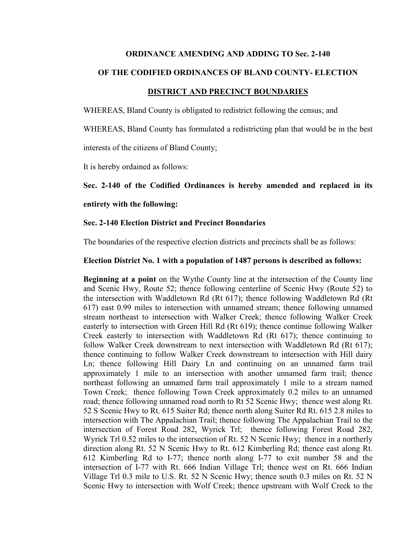#### **ORDINANCE AMENDING AND ADDING TO Sec. 2-140**

### **OF THE CODIFIED ORDINANCES OF BLAND COUNTY- ELECTION**

#### **DISTRICT AND PRECINCT BOUNDARIES**

WHEREAS, Bland County is obligated to redistrict following the census; and

WHEREAS, Bland County has formulated a redistricting plan that would be in the best

interests of the citizens of Bland County;

It is hereby ordained as follows:

### **Sec. 2-140 of the Codified Ordinances is hereby amended and replaced in its**

#### **entirety with the following:**

### **Sec. 2-140 Election District and Precinct Boundaries**

The boundaries of the respective election districts and precincts shall be as follows:

#### **Election District No. 1 with a population of 1487 persons is described as follows:**

**Beginning at a point** on the Wythe County line at the intersection of the County line and Scenic Hwy, Route 52; thence following centerline of Scenic Hwy (Route 52) to the intersection with Waddletown Rd (Rt 617); thence following Waddletown Rd (Rt 617) east 0.99 miles to intersection with unnamed stream; thence following unnamed stream northeast to intersection with Walker Creek; thence following Walker Creek easterly to intersection with Green Hill Rd (Rt 619); thence continue following Walker Creek easterly to intersection with Waddletown Rd (Rt 617); thence continuing to follow Walker Creek downstream to next intersection with Waddletown Rd (Rt 617); thence continuing to follow Walker Creek downstream to intersection with Hill dairy Ln; thence following Hill Dairy Ln and continuing on an unnamed farm trail approximately 1 mile to an intersection with another unnamed farm trail; thence northeast following an unnamed farm trail approximately 1 mile to a stream named Town Creek; thence following Town Creek approximately 0.2 miles to an unnamed road; thence following unnamed road north to Rt 52 Scenic Hwy; thence west along Rt. 52 S Scenic Hwy to Rt. 615 Suiter Rd; thence north along Suiter Rd Rt. 615 2.8 miles to intersection with The Appalachian Trail; thence following The Appalachian Trail to the intersection of Forest Road 282, Wyrick Trl; thence following Forest Road 282, Wyrick Trl 0.52 miles to the intersection of Rt. 52 N Scenic Hwy; thence in a northerly direction along Rt. 52 N Scenic Hwy to Rt. 612 Kimberling Rd; thence east along Rt. 612 Kimberling Rd to I-77; thence north along I-77 to exit number 58 and the intersection of I-77 with Rt. 666 Indian Village Trl; thence west on Rt. 666 Indian Village Trl 0.3 mile to U.S. Rt. 52 N Scenic Hwy; thence south 0.3 miles on Rt. 52 N Scenic Hwy to intersection with Wolf Creek; thence upstream with Wolf Creek to the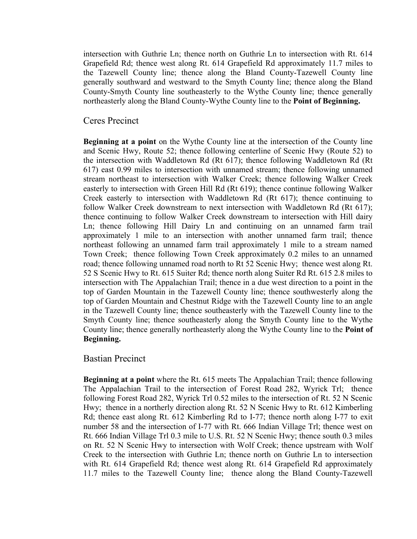intersection with Guthrie Ln; thence north on Guthrie Ln to intersection with Rt. 614 Grapefield Rd; thence west along Rt. 614 Grapefield Rd approximately 11.7 miles to the Tazewell County line; thence along the Bland County-Tazewell County line generally southward and westward to the Smyth County line; thence along the Bland County-Smyth County line southeasterly to the Wythe County line; thence generally northeasterly along the Bland County-Wythe County line to the **Point of Beginning.**

## Ceres Precinct

**Beginning at a point** on the Wythe County line at the intersection of the County line and Scenic Hwy, Route 52; thence following centerline of Scenic Hwy (Route 52) to the intersection with Waddletown Rd (Rt 617); thence following Waddletown Rd (Rt 617) east 0.99 miles to intersection with unnamed stream; thence following unnamed stream northeast to intersection with Walker Creek; thence following Walker Creek easterly to intersection with Green Hill Rd (Rt 619); thence continue following Walker Creek easterly to intersection with Waddletown Rd (Rt 617); thence continuing to follow Walker Creek downstream to next intersection with Waddletown Rd (Rt 617); thence continuing to follow Walker Creek downstream to intersection with Hill dairy Ln; thence following Hill Dairy Ln and continuing on an unnamed farm trail approximately 1 mile to an intersection with another unnamed farm trail; thence northeast following an unnamed farm trail approximately 1 mile to a stream named Town Creek; thence following Town Creek approximately 0.2 miles to an unnamed road; thence following unnamed road north to Rt 52 Scenic Hwy; thence west along Rt. 52 S Scenic Hwy to Rt. 615 Suiter Rd; thence north along Suiter Rd Rt. 615 2.8 miles to intersection with The Appalachian Trail; thence in a due west direction to a point in the top of Garden Mountain in the Tazewell County line; thence southwesterly along the top of Garden Mountain and Chestnut Ridge with the Tazewell County line to an angle in the Tazewell County line; thence southeasterly with the Tazewell County line to the Smyth County line; thence southeasterly along the Smyth County line to the Wythe County line; thence generally northeasterly along the Wythe County line to the **Point of Beginning.**

## Bastian Precinct

**Beginning at a point** where the Rt. 615 meets The Appalachian Trail; thence following The Appalachian Trail to the intersection of Forest Road 282, Wyrick Trl; thence following Forest Road 282, Wyrick Trl 0.52 miles to the intersection of Rt. 52 N Scenic Hwy; thence in a northerly direction along Rt. 52 N Scenic Hwy to Rt. 612 Kimberling Rd; thence east along Rt. 612 Kimberling Rd to I-77; thence north along I-77 to exit number 58 and the intersection of I-77 with Rt. 666 Indian Village Trl; thence west on Rt. 666 Indian Village Trl 0.3 mile to U.S. Rt. 52 N Scenic Hwy; thence south 0.3 miles on Rt. 52 N Scenic Hwy to intersection with Wolf Creek; thence upstream with Wolf Creek to the intersection with Guthrie Ln; thence north on Guthrie Ln to intersection with Rt. 614 Grapefield Rd; thence west along Rt. 614 Grapefield Rd approximately 11.7 miles to the Tazewell County line; thence along the Bland County-Tazewell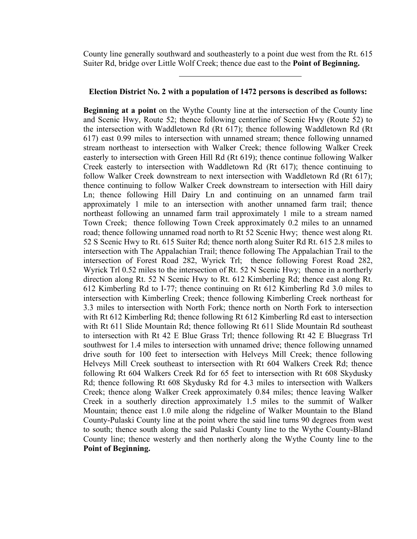County line generally southward and southeasterly to a point due west from the Rt. 615 Suiter Rd, bridge over Little Wolf Creek; thence due east to the **Point of Beginning.**

#### **Election District No. 2 with a population of 1472 persons is described as follows:**

**Beginning at a point** on the Wythe County line at the intersection of the County line and Scenic Hwy, Route 52; thence following centerline of Scenic Hwy (Route 52) to the intersection with Waddletown Rd (Rt 617); thence following Waddletown Rd (Rt 617) east 0.99 miles to intersection with unnamed stream; thence following unnamed stream northeast to intersection with Walker Creek; thence following Walker Creek easterly to intersection with Green Hill Rd (Rt 619); thence continue following Walker Creek easterly to intersection with Waddletown Rd (Rt 617); thence continuing to follow Walker Creek downstream to next intersection with Waddletown Rd (Rt 617); thence continuing to follow Walker Creek downstream to intersection with Hill dairy Ln; thence following Hill Dairy Ln and continuing on an unnamed farm trail approximately 1 mile to an intersection with another unnamed farm trail; thence northeast following an unnamed farm trail approximately 1 mile to a stream named Town Creek; thence following Town Creek approximately 0.2 miles to an unnamed road; thence following unnamed road north to Rt 52 Scenic Hwy; thence west along Rt. 52 S Scenic Hwy to Rt. 615 Suiter Rd; thence north along Suiter Rd Rt. 615 2.8 miles to intersection with The Appalachian Trail; thence following The Appalachian Trail to the intersection of Forest Road 282, Wyrick Trl; thence following Forest Road 282, Wyrick Trl 0.52 miles to the intersection of Rt. 52 N Scenic Hwy; thence in a northerly direction along Rt. 52 N Scenic Hwy to Rt. 612 Kimberling Rd; thence east along Rt. 612 Kimberling Rd to I-77; thence continuing on Rt 612 Kimberling Rd 3.0 miles to intersection with Kimberling Creek; thence following Kimberling Creek northeast for 3.3 miles to intersection with North Fork; thence north on North Fork to intersection with Rt 612 Kimberling Rd; thence following Rt 612 Kimberling Rd east to intersection with Rt 611 Slide Mountain Rd; thence following Rt 611 Slide Mountain Rd southeast to intersection with Rt 42 E Blue Grass Trl; thence following Rt 42 E Bluegrass Trl southwest for 1.4 miles to intersection with unnamed drive; thence following unnamed drive south for 100 feet to intersection with Helveys Mill Creek; thence following Helveys Mill Creek southeast to intersection with Rt 604 Walkers Creek Rd; thence following Rt 604 Walkers Creek Rd for 65 feet to intersection with Rt 608 Skydusky Rd; thence following Rt 608 Skydusky Rd for 4.3 miles to intersection with Walkers Creek; thence along Walker Creek approximately 0.84 miles; thence leaving Walker Creek in a southerly direction approximately 1.5 miles to the summit of Walker Mountain; thence east 1.0 mile along the ridgeline of Walker Mountain to the Bland County-Pulaski County line at the point where the said line turns 90 degrees from west to south; thence south along the said Pulaski County line to the Wythe County-Bland County line; thence westerly and then northerly along the Wythe County line to the **Point of Beginning.**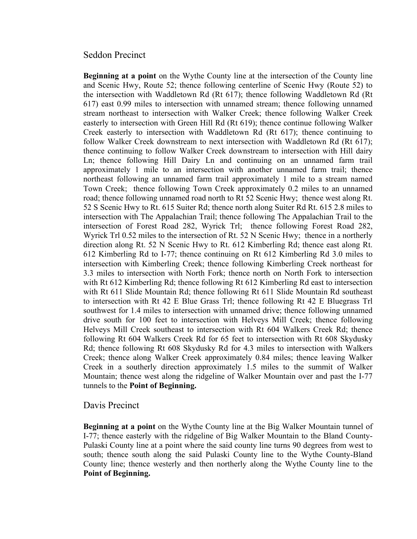## Seddon Precinct

**Beginning at a point** on the Wythe County line at the intersection of the County line and Scenic Hwy, Route 52; thence following centerline of Scenic Hwy (Route 52) to the intersection with Waddletown Rd (Rt 617); thence following Waddletown Rd (Rt 617) east 0.99 miles to intersection with unnamed stream; thence following unnamed stream northeast to intersection with Walker Creek; thence following Walker Creek easterly to intersection with Green Hill Rd (Rt 619); thence continue following Walker Creek easterly to intersection with Waddletown Rd (Rt 617); thence continuing to follow Walker Creek downstream to next intersection with Waddletown Rd (Rt 617); thence continuing to follow Walker Creek downstream to intersection with Hill dairy Ln; thence following Hill Dairy Ln and continuing on an unnamed farm trail approximately 1 mile to an intersection with another unnamed farm trail; thence northeast following an unnamed farm trail approximately 1 mile to a stream named Town Creek; thence following Town Creek approximately 0.2 miles to an unnamed road; thence following unnamed road north to Rt 52 Scenic Hwy; thence west along Rt. 52 S Scenic Hwy to Rt. 615 Suiter Rd; thence north along Suiter Rd Rt. 615 2.8 miles to intersection with The Appalachian Trail; thence following The Appalachian Trail to the intersection of Forest Road 282, Wyrick Trl; thence following Forest Road 282, Wyrick Trl 0.52 miles to the intersection of Rt. 52 N Scenic Hwy; thence in a northerly direction along Rt. 52 N Scenic Hwy to Rt. 612 Kimberling Rd; thence east along Rt. 612 Kimberling Rd to I-77; thence continuing on Rt 612 Kimberling Rd 3.0 miles to intersection with Kimberling Creek; thence following Kimberling Creek northeast for 3.3 miles to intersection with North Fork; thence north on North Fork to intersection with Rt 612 Kimberling Rd; thence following Rt 612 Kimberling Rd east to intersection with Rt 611 Slide Mountain Rd; thence following Rt 611 Slide Mountain Rd southeast to intersection with Rt 42 E Blue Grass Trl; thence following Rt 42 E Bluegrass Trl southwest for 1.4 miles to intersection with unnamed drive; thence following unnamed drive south for 100 feet to intersection with Helveys Mill Creek; thence following Helveys Mill Creek southeast to intersection with Rt 604 Walkers Creek Rd; thence following Rt 604 Walkers Creek Rd for 65 feet to intersection with Rt 608 Skydusky Rd; thence following Rt 608 Skydusky Rd for 4.3 miles to intersection with Walkers Creek; thence along Walker Creek approximately 0.84 miles; thence leaving Walker Creek in a southerly direction approximately 1.5 miles to the summit of Walker Mountain; thence west along the ridgeline of Walker Mountain over and past the I-77 tunnels to the **Point of Beginning.**

## Davis Precinct

**Beginning at a point** on the Wythe County line at the Big Walker Mountain tunnel of I-77; thence easterly with the ridgeline of Big Walker Mountain to the Bland County-Pulaski County line at a point where the said county line turns 90 degrees from west to south; thence south along the said Pulaski County line to the Wythe County-Bland County line; thence westerly and then northerly along the Wythe County line to the **Point of Beginning.**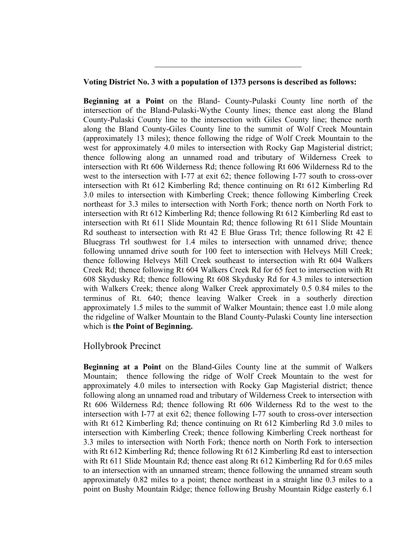### **Voting District No. 3 with a population of 1373 persons is described as follows:**

**Beginning at a Point** on the Bland- County-Pulaski County line north of the intersection of the Bland-Pulaski-Wythe County lines; thence east along the Bland County-Pulaski County line to the intersection with Giles County line; thence north along the Bland County-Giles County line to the summit of Wolf Creek Mountain (approximately 13 miles); thence following the ridge of Wolf Creek Mountain to the west for approximately 4.0 miles to intersection with Rocky Gap Magisterial district; thence following along an unnamed road and tributary of Wilderness Creek to intersection with Rt 606 Wilderness Rd; thence following Rt 606 Wilderness Rd to the west to the intersection with I-77 at exit 62; thence following I-77 south to cross-over intersection with Rt 612 Kimberling Rd; thence continuing on Rt 612 Kimberling Rd 3.0 miles to intersection with Kimberling Creek; thence following Kimberling Creek northeast for 3.3 miles to intersection with North Fork; thence north on North Fork to intersection with Rt 612 Kimberling Rd; thence following Rt 612 Kimberling Rd east to intersection with Rt 611 Slide Mountain Rd; thence following Rt 611 Slide Mountain Rd southeast to intersection with Rt 42 E Blue Grass Trl; thence following Rt 42 E Bluegrass Trl southwest for 1.4 miles to intersection with unnamed drive; thence following unnamed drive south for 100 feet to intersection with Helveys Mill Creek; thence following Helveys Mill Creek southeast to intersection with Rt 604 Walkers Creek Rd; thence following Rt 604 Walkers Creek Rd for 65 feet to intersection with Rt 608 Skydusky Rd; thence following Rt 608 Skydusky Rd for 4.3 miles to intersection with Walkers Creek; thence along Walker Creek approximately 0.5 0.84 miles to the terminus of Rt. 640; thence leaving Walker Creek in a southerly direction approximately 1.5 miles to the summit of Walker Mountain; thence east 1.0 mile along the ridgeline of Walker Mountain to the Bland County-Pulaski County line intersection which is **the Point of Beginning.**

# Hollybrook Precinct

**Beginning at a Point** on the Bland-Giles County line at the summit of Walkers Mountain; thence following the ridge of Wolf Creek Mountain to the west for approximately 4.0 miles to intersection with Rocky Gap Magisterial district; thence following along an unnamed road and tributary of Wilderness Creek to intersection with Rt 606 Wilderness Rd; thence following Rt 606 Wilderness Rd to the west to the intersection with I-77 at exit 62; thence following I-77 south to cross-over intersection with Rt 612 Kimberling Rd; thence continuing on Rt 612 Kimberling Rd 3.0 miles to intersection with Kimberling Creek; thence following Kimberling Creek northeast for 3.3 miles to intersection with North Fork; thence north on North Fork to intersection with Rt 612 Kimberling Rd; thence following Rt 612 Kimberling Rd east to intersection with Rt 611 Slide Mountain Rd; thence east along Rt 612 Kimberling Rd for 0.65 miles to an intersection with an unnamed stream; thence following the unnamed stream south approximately 0.82 miles to a point; thence northeast in a straight line 0.3 miles to a point on Bushy Mountain Ridge; thence following Brushy Mountain Ridge easterly 6.1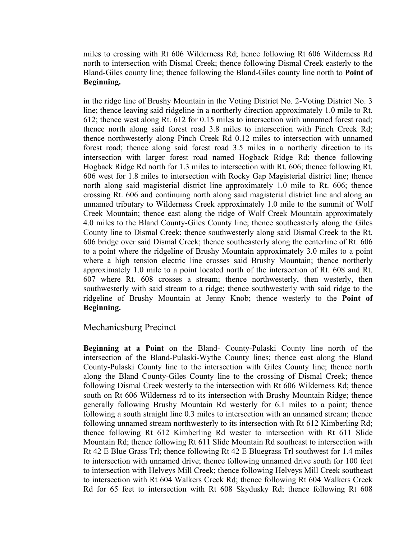miles to crossing with Rt 606 Wilderness Rd; hence following Rt 606 Wilderness Rd north to intersection with Dismal Creek; thence following Dismal Creek easterly to the Bland-Giles county line; thence following the Bland-Giles county line north to **Point of Beginning.**

in the ridge line of Brushy Mountain in the Voting District No. 2-Voting District No. 3 line; thence leaving said ridgeline in a northerly direction approximately 1.0 mile to Rt. 612; thence west along Rt. 612 for 0.15 miles to intersection with unnamed forest road; thence north along said forest road 3.8 miles to intersection with Pinch Creek Rd; thence northwesterly along Pinch Creek Rd 0.12 miles to intersection with unnamed forest road; thence along said forest road 3.5 miles in a northerly direction to its intersection with larger forest road named Hogback Ridge Rd; thence following Hogback Ridge Rd north for 1.3 miles to intersection with Rt. 606; thence following Rt. 606 west for 1.8 miles to intersection with Rocky Gap Magisterial district line; thence north along said magisterial district line approximately 1.0 mile to Rt. 606; thence crossing Rt. 606 and continuing north along said magisterial district line and along an unnamed tributary to Wilderness Creek approximately 1.0 mile to the summit of Wolf Creek Mountain; thence east along the ridge of Wolf Creek Mountain approximately 4.0 miles to the Bland County-Giles County line; thence southeasterly along the Giles County line to Dismal Creek; thence southwesterly along said Dismal Creek to the Rt. 606 bridge over said Dismal Creek; thence southeasterly along the centerline of Rt. 606 to a point where the ridgeline of Brushy Mountain approximately 3.0 miles to a point where a high tension electric line crosses said Brushy Mountain; thence northerly approximately 1.0 mile to a point located north of the intersection of Rt. 608 and Rt. 607 where Rt. 608 crosses a stream; thence northwesterly, then westerly, then southwesterly with said stream to a ridge; thence southwesterly with said ridge to the ridgeline of Brushy Mountain at Jenny Knob; thence westerly to the **Point of Beginning.**

# Mechanicsburg Precinct

**Beginning at a Point** on the Bland- County-Pulaski County line north of the intersection of the Bland-Pulaski-Wythe County lines; thence east along the Bland County-Pulaski County line to the intersection with Giles County line; thence north along the Bland County-Giles County line to the crossing of Dismal Creek; thence following Dismal Creek westerly to the intersection with Rt 606 Wilderness Rd; thence south on Rt 606 Wilderness rd to its intersection with Brushy Mountain Ridge; thence generally following Brushy Mountain Rd westerly for 6.1 miles to a point; thence following a south straight line 0.3 miles to intersection with an unnamed stream; thence following unnamed stream northwesterly to its intersection with Rt 612 Kimberling Rd; thence following Rt 612 Kimberling Rd wester to intersection with Rt 611 Slide Mountain Rd; thence following Rt 611 Slide Mountain Rd southeast to intersection with Rt 42 E Blue Grass Trl; thence following Rt 42 E Bluegrass Trl southwest for 1.4 miles to intersection with unnamed drive; thence following unnamed drive south for 100 feet to intersection with Helveys Mill Creek; thence following Helveys Mill Creek southeast to intersection with Rt 604 Walkers Creek Rd; thence following Rt 604 Walkers Creek Rd for 65 feet to intersection with Rt 608 Skydusky Rd; thence following Rt 608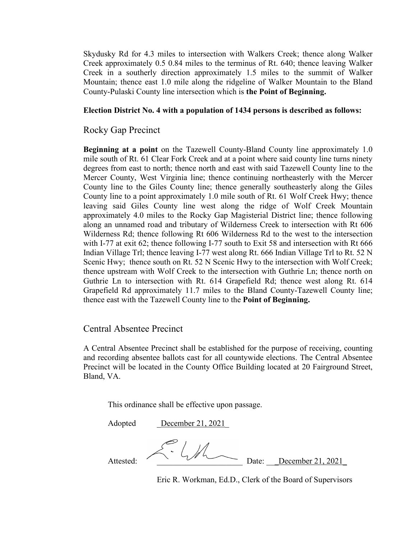Skydusky Rd for 4.3 miles to intersection with Walkers Creek; thence along Walker Creek approximately 0.5 0.84 miles to the terminus of Rt. 640; thence leaving Walker Creek in a southerly direction approximately 1.5 miles to the summit of Walker Mountain; thence east 1.0 mile along the ridgeline of Walker Mountain to the Bland County-Pulaski County line intersection which is **the Point of Beginning.**

## **Election District No. 4 with a population of 1434 persons is described as follows:**

# Rocky Gap Precinct

**Beginning at a point** on the Tazewell County-Bland County line approximately 1.0 mile south of Rt. 61 Clear Fork Creek and at a point where said county line turns ninety degrees from east to north; thence north and east with said Tazewell County line to the Mercer County, West Virginia line; thence continuing northeasterly with the Mercer County line to the Giles County line; thence generally southeasterly along the Giles County line to a point approximately 1.0 mile south of Rt. 61 Wolf Creek Hwy; thence leaving said Giles County line west along the ridge of Wolf Creek Mountain approximately 4.0 miles to the Rocky Gap Magisterial District line; thence following along an unnamed road and tributary of Wilderness Creek to intersection with Rt 606 Wilderness Rd; thence following Rt 606 Wilderness Rd to the west to the intersection with I-77 at exit 62; thence following I-77 south to Exit 58 and intersection with Rt 666 Indian Village Trl; thence leaving I-77 west along Rt. 666 Indian Village Trl to Rt. 52 N Scenic Hwy; thence south on Rt. 52 N Scenic Hwy to the intersection with Wolf Creek; thence upstream with Wolf Creek to the intersection with Guthrie Ln; thence north on Guthrie Ln to intersection with Rt. 614 Grapefield Rd; thence west along Rt. 614 Grapefield Rd approximately 11.7 miles to the Bland County-Tazewell County line; thence east with the Tazewell County line to the **Point of Beginning.** 

# Central Absentee Precinct

A Central Absentee Precinct shall be established for the purpose of receiving, counting and recording absentee ballots cast for all countywide elections. The Central Absentee Precinct will be located in the County Office Building located at 20 Fairground Street, Bland, VA.

This ordinance shall be effective upon passage.

Adopted December 21, 2021

Attested:  $\sim$   $\sim$   $\sim$   $\sim$  Date: December 21, 2021

Eric R. Workman, Ed.D., Clerk of the Board of Supervisors